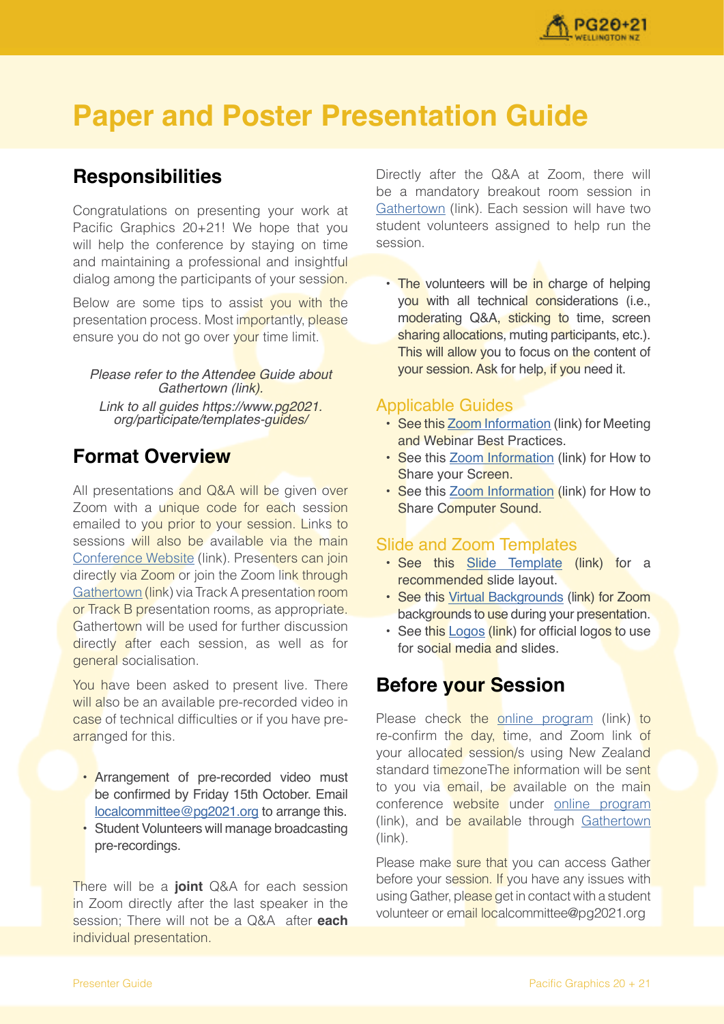

# **Paper and Poster Presentation Guide**

## **Responsibilities**

Congratulations on presenting your work at Pacific Graphics 20+21! We hope that you will help the conference by staying on time and maintaining a professional and insightful dialog among the participants of your session.

Below are some tips to assist you with the presentation process. Most importantly, please ensure you do not go over your time limit.

Please refer to the Attendee Guide about Gathertown (link). Link to all guides https://www.pg2021. org/participate/templates-guides/

## **Format Overview**

All presentations and Q&A will be given over Zoom with a unique code for each session emailed to you prior to your session. Links to sessions will also be available via the main [Conference Website](https://pg2021.org/programme/overview) (link). Presenters can join directly via Zoom or join the Zoom link through [Gathertown](https://gather.town/app/GEJPI5vneJ2DLgqn/Pacific%20Graphics%202021) (link) via Track A presentation room or Track B presentation rooms, as appropriate. Gathertown will be used for further discussion directly after each session, as well as for general socialisation.

You have been asked to present live. There will also be an available pre-recorded video in case of technical difficulties or if you have prearranged for this.

- Arrangement of pre-recorded video must be confirmed by Friday 15th October. Email [localcommittee@pg2021.org](mailto:localcommittee@pg2021.org) to arrange this.
- Student Volunteers will manage broadcasting pre-recordings.

There will be a **joint** Q&A for each session in Zoom directly after the last speaker in the session; There will not be a Q&A after **each** individual presentation.

Directly after the Q&A at Zoom, there will be a mandatory breakout room session in [Gathertown](https://gather.town/app/GEJPI5vneJ2DLgqn/Pacific%20Graphics%202021) (link). Each session will have two student volunteers assigned to help run the session.

• The volunteers will be in charge of helping you with all technical considerations (i.e., moderating Q&A, sticking to time, screen sharing allocations, muting participants, etc.). This will allow you to focus on the content of your session. Ask for help, if you need it.

#### Applicable Guides

- See this [Zoom Information](https://support.zoom.us/hc/en-us/articles/209743263-Meeting-and-Webinar-Best-Practices-and-Resources) (link) for Meeting and Webinar Best Practices.
- See this [Zoom Information](https://www.youtube.com/embed/YA6SGQlVmcA?rel=0&autoplay=1&cc_load_policy=1) (link) for How to Share your Screen.
- See this [Zoom Information](https://support.zoom.us/hc/en-us/articles/201362643-Sharing-Computer-Sound-During-Screen-Sharing) (link) for How to Share Computer Sound.

### Slide and Zoom Templates

- See this [Slide Template](https://www.pg2021.org/media/2dynksec/powerpoint-template-pg20-21.pptx) (link) for a recommended slide layout.
- See this [Virtual Backgrounds](https://www.pg2021.org/media/qnif1auh/virtual-backgrounds-pg20-21.zip) (link) for Zoom backgrounds to use during your presentation.
- See this [Logos](https://www.pg2021.org/media/2afjubjr/logos-pg20-21.zip) (link) for official logos to use for social media and slides.

## **Before your Session**

Please check the [online program](https://www.pg2021.org/programme/overview/) (link) to re-confirm the day, time, and Zoom link of your allocated session/s using New Zealand standard timezoneThe information will be sent to you via email, be available on the main conference website under [online program](https://www.pg2021.org/programme/overview/) (link), and be available through [Gathertown](https://gather.town/app/GEJPI5vneJ2DLgqn/Pacific%20Graphics%202021) (link).

Please make sure that you can access Gather before your session. If you have any issues with using Gather, please get in contact with a student volunteer or email localcommittee@pg2021.org